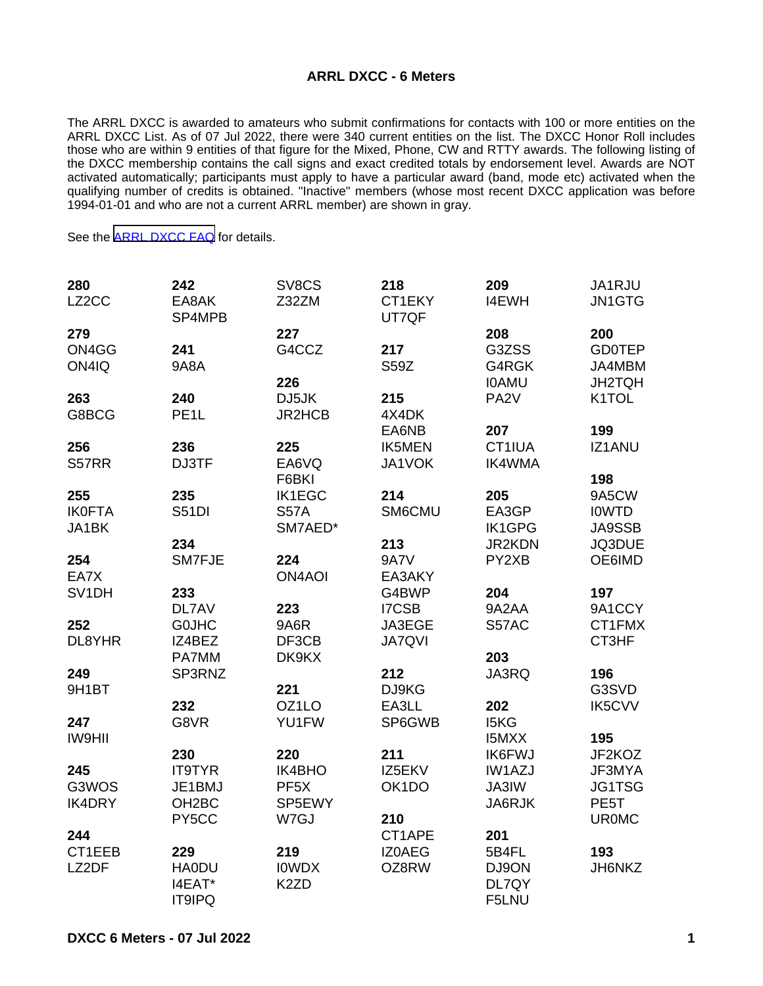## **ARRL DXCC - 6 Meters**

The ARRL DXCC is awarded to amateurs who submit confirmations for contacts with 100 or more entities on the ARRL DXCC List. As of 07 Jul 2022, there were 340 current entities on the list. The DXCC Honor Roll includes those who are within 9 entities of that figure for the Mixed, Phone, CW and RTTY awards. The following listing of the DXCC membership contains the call signs and exact credited totals by endorsement level. Awards are NOT activated automatically; participants must apply to have a particular award (band, mode etc) activated when the qualifying number of credits is obtained. "Inactive" members (whose most recent DXCC application was before 1994-01-01 and who are not a current ARRL member) are shown in gray.

See the [ARRL DXCC FAQ](http://www.arrl.org/dxcc-faq/) for details.

| 280           | 242                | SV8CS             | 218                | 209               | JA1RJU            |
|---------------|--------------------|-------------------|--------------------|-------------------|-------------------|
| LZ2CC         | EA8AK<br>SP4MPB    | Z32ZM             | CT1EKY<br>UT7QF    | <b>I4EWH</b>      | JN1GTG            |
| 279           |                    | 227               |                    | 208               | 200               |
| ON4GG         | 241                | G4CCZ             | 217                | G3ZSS             | <b>GD0TEP</b>     |
| ON4IQ         | <b>9A8A</b>        |                   | <b>S59Z</b>        | G4RGK             | JA4MBM            |
|               |                    | 226               |                    | <b>IOAMU</b>      | <b>JH2TQH</b>     |
| 263           | 240                | DJ5JK             | 215                | PA <sub>2</sub> V | K1TOL             |
| G8BCG         | PE <sub>1</sub> L  | JR2HCB            | 4X4DK              |                   |                   |
|               |                    |                   | EA6NB              | 207               | 199               |
| 256           | 236                | 225               | <b>IK5MEN</b>      | CT1IUA            | <b>IZ1ANU</b>     |
| S57RR         | DJ3TF              | EA6VQ             | JA1VOK             | <b>IK4WMA</b>     |                   |
|               |                    | F6BKI             |                    |                   | 198               |
| 255           | 235                | <b>IK1EGC</b>     | 214                | 205               | 9A5CW             |
| <b>IK0FTA</b> | <b>S51DI</b>       | <b>S57A</b>       | SM6CMU             | EA3GP             | <b>IOWTD</b>      |
| JA1BK         |                    | SM7AED*           |                    | <b>IK1GPG</b>     | <b>JA9SSB</b>     |
|               | 234                |                   | 213                | JR2KDN            | JQ3DUE            |
| 254           | SM7FJE             | 224               | <b>9A7V</b>        | PY2XB             | OE6IMD            |
| EA7X          |                    | <b>ON4AOI</b>     | EA3AKY             |                   |                   |
| SV1DH         | 233                |                   | G4BWP              | 204               | 197               |
|               | DL7AV              | 223               | <b>I7CSB</b>       | 9A2AA             | 9A1CCY            |
| 252           | <b>GOJHC</b>       | 9A6R              | JA3EGE             | S57AC             | CT1FMX            |
| DL8YHR        | IZ4BEZ             | DF3CB             | <b>JA7QVI</b>      |                   | CT3HF             |
|               | PA7MM              | DK9KX             |                    | 203               |                   |
| 249           | SP3RNZ             |                   | 212                | JA3RQ             | 196               |
| 9H1BT         |                    | 221               | DJ9KG              |                   | G3SVD             |
|               | 232                | OZ1LO             | EA3LL              | 202               | <b>IK5CVV</b>     |
| 247           | G8VR               | YU1FW             | SP6GWB             | I5KG              |                   |
| <b>IW9HII</b> |                    |                   |                    | <b>I5MXX</b>      | 195               |
|               | 230                | 220               | 211                | <b>IK6FWJ</b>     | JF2KOZ            |
| 245           | <b>IT9TYR</b>      | IK4BHO            | IZ5EKV             | <b>IW1AZJ</b>     | JF3MYA            |
| G3WOS         | JE1BMJ             | PF <sub>5</sub> X | OK <sub>1</sub> DO | JA3IW             | JG1TSG            |
| <b>IK4DRY</b> | OH <sub>2</sub> BC | SP5EWY            |                    | JA6RJK            | PE <sub>5</sub> T |
|               | PY5CC              | W7GJ              | 210                |                   | <b>UR0MC</b>      |
| 244           |                    |                   | CT1APE             | 201               |                   |
| CT1EEB        | 229                | 219               | <b>IZOAEG</b>      | 5B4FL             | 193               |
| LZ2DF         | <b>HA0DU</b>       | <b>IOWDX</b>      | OZ8RW              | DJ9ON             | JH6NKZ            |
|               | I4EAT*             | K <sub>2</sub> ZD |                    | DL7QY             |                   |
|               | <b>IT9IPQ</b>      |                   |                    | F5LNU             |                   |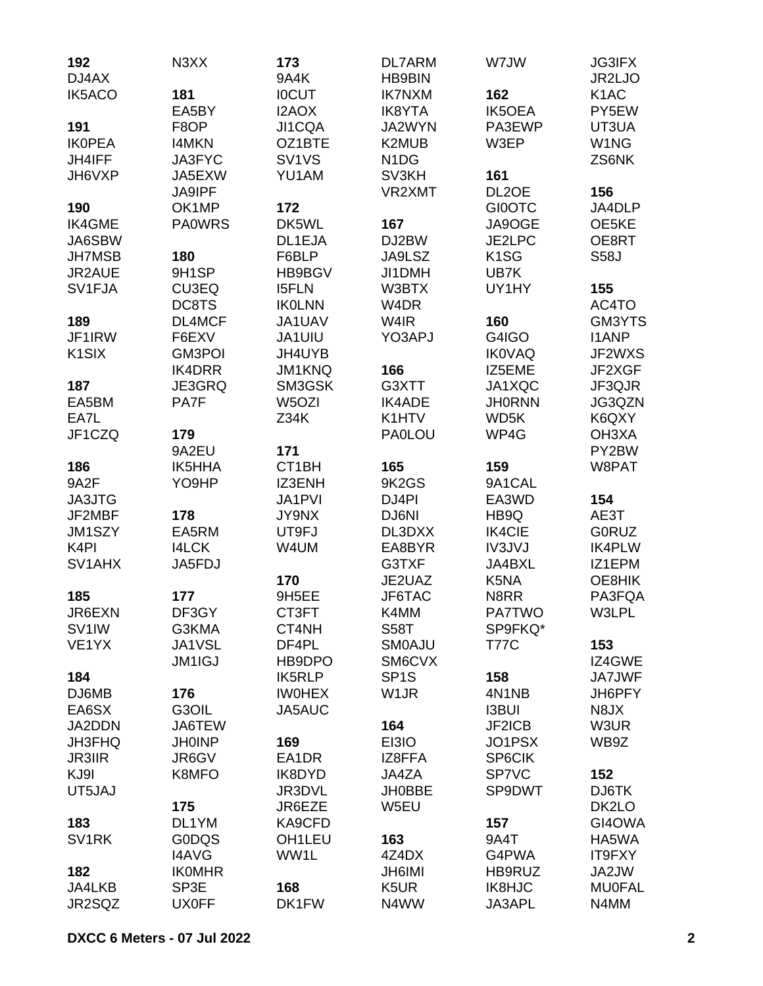| 192                 | N3XX          | 173                            | <b>DL7ARM</b>                 | W7JW               | <b>JG3IFX</b>     |
|---------------------|---------------|--------------------------------|-------------------------------|--------------------|-------------------|
| DJ4AX               |               | <b>9A4K</b>                    | <b>HB9BIN</b>                 |                    | JR2LJO            |
| <b>IK5ACO</b>       | 181           | <b>IOCUT</b>                   | <b>IK7NXM</b>                 | 162                | K <sub>1</sub> AC |
|                     | EA5BY         | I2AOX                          | <b>IK8YTA</b>                 | <b>IK5OEA</b>      | PY5EW             |
| 191                 | F8OP          | JI1CQA                         | JA2WYN                        | PA3EWP             | UT3UA             |
| <b>IKOPEA</b>       | <b>I4MKN</b>  | OZ1BTE                         | K2MUB                         | W3EP               | W1NG              |
| <b>JH4IFF</b>       | JA3FYC        | SV <sub>1</sub> V <sub>S</sub> | N <sub>1</sub> D <sub>G</sub> |                    | ZS6NK             |
| JH6VXP              | JA5EXW        | YU1AM                          | SV3KH                         | 161                |                   |
|                     | JA9IPF        |                                | VR2XMT                        | DL <sub>2</sub> OE | 156               |
| 190                 | OK1MP         | 172                            |                               | <b>GI0OTC</b>      | JA4DLP            |
| <b>IK4GME</b>       | <b>PA0WRS</b> | DK5WL                          | 167                           | JA9OGE             | OE5KE             |
| JA6SBW              |               | DL1EJA                         | DJ2BW                         | JE2LPC             | OE8RT             |
| <b>JH7MSB</b>       | 180           | F6BLP                          | JA9LSZ                        | K <sub>1</sub> SG  | <b>S58J</b>       |
| JR2AUE              | 9H1SP         | HB9BGV                         | JI1DMH                        | UB7K               |                   |
| SV1FJA              | CU3EQ         | <b>I5FLN</b>                   | W3BTX                         | UY1HY              | 155               |
|                     | DC8TS         | <b>IKOLNN</b>                  | W <sub>4</sub> DR             |                    | AC4TO             |
| 189                 | DL4MCF        | JA1UAV                         | W4IR                          | 160                | GM3YTS            |
| JF1IRW              | F6EXV         | JA1UIU                         | YO3APJ                        | G4IGO              | <b>I1ANP</b>      |
| K <sub>1</sub> SIX  | <b>GM3POI</b> | JH4UYB                         |                               | <b>IK0VAQ</b>      | JF2WXS            |
|                     | <b>IK4DRR</b> |                                | 166                           | IZ5EME             | JF2XGF            |
|                     |               | JM1KNQ                         |                               |                    |                   |
| 187                 | JE3GRQ        | SM3GSK                         | G3XTT                         | JA1XQC             | JF3QJR            |
| EA5BM               | PA7F          | W <sub>5</sub> OZI             | <b>IK4ADE</b>                 | <b>JH0RNN</b>      | JG3QZN            |
| EA7L                |               | Z34K                           | K1HTV                         | WD5K               | K6QXY             |
| JF1CZQ              | 179           |                                | <b>PA0LOU</b>                 | WP4G               | OH3XA             |
|                     | 9A2EU         | 171                            |                               |                    | PY2BW             |
| 186                 | IK5HHA        | CT1BH                          | 165                           | 159                | W8PAT             |
| 9A2F                | YO9HP         | IZ3ENH                         | 9K2GS                         | 9A1CAL             |                   |
| <b>JA3JTG</b>       |               | JA1PVI                         | DJ4PI                         | EA3WD              | 154               |
| JF2MBF              | 178           | <b>JY9NX</b>                   | DJ6NI                         | HB9Q               | AE3T              |
| JM1SZY              | EA5RM         | UT9FJ                          | DL3DXX                        | <b>IK4CIE</b>      | <b>GORUZ</b>      |
| K <sub>4</sub> PI   | <b>I4LCK</b>  | W4UM                           | EA8BYR                        | <b>IV3JVJ</b>      | <b>IK4PLW</b>     |
| SV <sub>1</sub> AHX | JA5FDJ        |                                | G3TXF                         | JA4BXL             | IZ1EPM            |
|                     |               | 170                            | JE2UAZ                        | K5NA               | OE8HIK            |
| 185                 | 177           | 9H5EE                          | JF6TAC                        | N8RR               | PA3FQA            |
| JR6EXN              | DF3GY         | CT3FT                          | K4MM                          | <b>PA7TWO</b>      | W3LPL             |
| SV <sub>1</sub> IW  | G3KMA         | CT4NH                          | <b>S58T</b>                   | SP9FKQ*            |                   |
| VE1YX               | JA1VSL        | DF4PL                          | <b>SMOAJU</b>                 | <b>T77C</b>        | 153               |
|                     | <b>JM1IGJ</b> | HB9DPO                         | SM6CVX                        |                    | IZ4GWE            |
| 184                 |               | <b>IK5RLP</b>                  | SP <sub>1</sub> S             | 158                | JA7JWF            |
| DJ6MB               | 176           | <b>IWOHEX</b>                  | W <sub>1</sub> JR             | 4N1NB              | JH6PFY            |
| EA6SX               | G3OIL         | JA5AUC                         |                               | <b>I3BUI</b>       | N8JX              |
| JA2DDN              | JA6TEW        |                                | 164                           | JF2ICB             | W3UR              |
| <b>JH3FHQ</b>       | <b>JH0INP</b> | 169                            | EI3IO                         | JO1PSX             | WB9Z              |
| <b>JR3IIR</b>       | JR6GV         | EA1DR                          | IZ8FFA                        | <b>SP6CIK</b>      |                   |
| KJ9I                | K8MFO         | IK8DYD                         | JA4ZA                         | SP7VC              | 152               |
| UT5JAJ              |               | JR3DVL                         | <b>JH0BBE</b>                 | SP9DWT             | DJ6TK             |
|                     | 175           | JR6EZE                         | W5EU                          |                    | DK2LO             |
| 183                 | DL1YM         | KA9CFD                         |                               | 157                | GI4OWA            |
| SV <sub>1</sub> RK  | <b>GODQS</b>  | OH <sub>1</sub> LEU            | 163                           | 9A4T               | HA5WA             |
|                     | <b>I4AVG</b>  | WW1L                           | 4Z4DX                         | G4PWA              | IT9FXY            |
| 182                 | <b>IKOMHR</b> |                                | <b>JH6IMI</b>                 | HB9RUZ             | JA2JW             |
| JA4LKB              | SP3E          | 168                            | K <sub>5</sub> UR             | IK8HJC             | <b>MU0FAL</b>     |
| JR2SQZ              | <b>UX0FF</b>  | DK1FW                          | N4WW                          | JA3APL             | N4MM              |
|                     |               |                                |                               |                    |                   |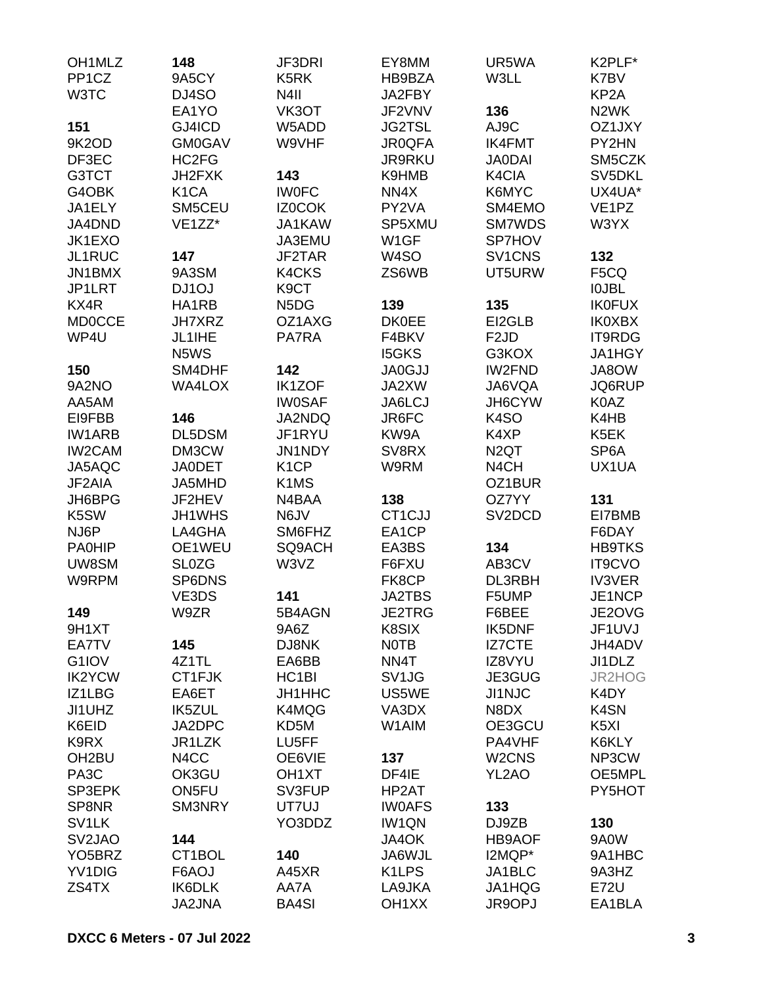| OH <sub>1</sub> MLZ | 148                    | JF3DRI                        | EY8MM              | UR5WA                          | K2PLF*             |
|---------------------|------------------------|-------------------------------|--------------------|--------------------------------|--------------------|
| PP <sub>1</sub> CZ  | 9A5CY                  | K5RK                          | HB9BZA             | W3LL                           | K7BV               |
| W3TC                | DJ4SO                  | N <sub>4</sub> II             | JA2FBY             |                                | KP <sub>2</sub> A  |
|                     | EA1YO                  | VK3OT                         | JF2VNV             | 136                            | N <sub>2</sub> WK  |
| 151                 | GJ4ICD                 | W5ADD                         | <b>JG2TSL</b>      | AJ9C                           | OZ1JXY             |
| 9K2OD               | <b>GM0GAV</b>          | W9VHF                         | <b>JR0QFA</b>      | <b>IK4FMT</b>                  | PY2HN              |
| DF3EC               | HC2FG                  |                               | <b>JR9RKU</b>      | <b>JA0DAI</b>                  | SM5CZK             |
| G3TCT               | JH2FXK                 | 143                           | K9HMB              | K4CIA                          | SV5DKL             |
| G4OBK               | K <sub>1</sub> CA      | <b>IWOFC</b>                  | NN4X               | K6MYC                          | UX4UA*             |
| JA1ELY              | SM5CEU                 | <b>IZ0COK</b>                 | PY2VA              | SM4EMO                         | VE <sub>1</sub> PZ |
| JA4DND              | VE1ZZ*                 | JA1KAW                        | SP5XMU             | SM7WDS                         | W3YX               |
| JK1EXO              |                        | JA3EMU                        | W1GF               | SP7HOV                         |                    |
| JL1RUC              | 147                    | JF2TAR                        | W <sub>4</sub> SO  | SV <sub>1</sub> CNS            | 132                |
| JN1BMX              | 9A3SM                  | <b>K4CKS</b>                  | ZS6WB              | UT5URW                         | F5CQ               |
| JP1LRT              | DJ1OJ                  | K <sub>9</sub> CT             |                    |                                | <b>IOJBL</b>       |
| KX4R                | HA1RB                  | N <sub>5</sub> D <sub>G</sub> | 139                | 135                            | <b>IK0FUX</b>      |
| <b>MD0CCE</b>       | JH7XRZ                 | OZ1AXG                        | <b>DK0EE</b>       | EI2GLB                         | <b>IK0XBX</b>      |
| WP4U                | JL1IHE                 | PA7RA                         | F4BKV              | F <sub>2</sub> JD              | IT9RDG             |
|                     | N5WS                   |                               | <b>I5GKS</b>       | G3KOX                          | JA1HGY             |
| 150                 | SM4DHF                 | 142                           | <b>JA0GJJ</b>      | <b>IW2FND</b>                  | JA8OW              |
| 9A2NO               | <b>WA4LOX</b>          | <b>IK1ZOF</b>                 | JA2XW              | JA6VQA                         | JQ6RUP             |
| AA5AM               |                        | <b>IW0SAF</b>                 | JA6LCJ             | JH6CYW                         | K0AZ               |
| EI9FBB              | 146                    | JA2NDQ                        | JR6FC              | K <sub>4</sub> SO              | K4HB               |
| <b>IW1ARB</b>       | DL5DSM                 | JF1RYU                        | KW9A               | K4XP                           | K5EK               |
| <b>IW2CAM</b>       | DM3CW                  | JN1NDY                        | SV8RX              | N <sub>2</sub> QT              | SP <sub>6</sub> A  |
| JA5AQC              | <b>JA0DET</b>          | K <sub>1</sub> CP             | W9RM               | N <sub>4</sub> CH              | UX1UA              |
| JF2AIA              | JA5MHD                 | K <sub>1</sub> M <sub>S</sub> |                    | OZ1BUR                         |                    |
| JH6BPG              | JF2HEV                 | N4BAA                         | 138                | OZ7YY                          | 131                |
| K5SW                | JH1WHS                 | N6JV                          | CT1CJJ             | SV <sub>2</sub> DCD            | EI7BMB             |
| NJ6P                | LA4GHA                 | SM6FHZ                        | EA1CP              |                                | F6DAY              |
| <b>PA0HIP</b>       | OE1WEU                 | SQ9ACH                        | EA3BS              | 134                            | <b>HB9TKS</b>      |
| UW8SM               | <b>SL0ZG</b>           | W3VZ                          | F6FXU              | AB3CV                          | <b>IT9CVO</b>      |
| W9RPM               | SP6DNS                 |                               | FK8CP              | DL3RBH                         | <b>IV3VER</b>      |
|                     | VE3DS<br>W9ZR          | 141                           | <b>JA2TBS</b>      | F5UMP                          | JE1NCP             |
| 149                 |                        | 5B4AGN                        | JE2TRG             | F6BEE                          | JE2OVG             |
| 9H1XT               |                        | 9A6Z<br>DJ8NK                 | K8SIX              | <b>IK5DNF</b>                  | JF1UVJ             |
| EA7TV               | 145                    |                               | <b>NOTB</b>        | IZ7CTE                         | JH4ADV             |
| G1IOV               | 4Z1TL                  | EA6BB                         | NN4T               | IZ8VYU                         | JI1DLZ             |
| <b>IK2YCW</b>       | CT1FJK                 | HC <sub>1</sub> BI            | SV <sub>1JG</sub>  | JE3GUG                         | JR2HOG             |
| IZ1LBG<br>JI1UHZ    | EA6ET<br><b>IK5ZUL</b> | JH1HHC                        | US5WE              | <b>JI1NJC</b><br>N8DX          | K4DY<br>K4SN       |
| K6EID               | JA2DPC                 | K4MQG<br>KD5M                 | VA3DX<br>W1AIM     | OE3GCU                         | K <sub>5</sub> XI  |
| K9RX                | JR1LZK                 | LU5FF                         |                    | PA4VHF                         | K6KLY              |
| OH <sub>2</sub> BU  | N4CC                   | OE6VIE                        | 137                | W <sub>2</sub> CN <sub>S</sub> | NP3CW              |
| PA <sub>3</sub> C   | OK3GU                  | OH <sub>1</sub> XT            | DF4IE              | YL2AO                          | OE5MPL             |
| SP3EPK              | ON5FU                  | SV3FUP                        | HP2AT              |                                | PY5HOT             |
| SP8NR               | SM3NRY                 | UT7UJ                         | <b>IWOAFS</b>      | 133                            |                    |
| SV <sub>1</sub> LK  |                        | YO3DDZ                        | <b>IW1QN</b>       | DJ9ZB                          | 130                |
| SV <sub>2</sub> JAO | 144                    |                               | JA4OK              | <b>HB9AOF</b>                  | 9A0W               |
| YO <sub>5</sub> BRZ | CT1BOL                 | 140                           | JA6WJL             | I2MQP*                         | 9A1HBC             |
| YV1DIG              | F6AOJ                  | A45XR                         | K <sub>1</sub> LPS | JA1BLC                         | 9A3HZ              |
| ZS4TX               | IK6DLK                 | AA7A                          | LA9JKA             | JA1HQG                         | <b>E72U</b>        |
|                     | <b>JA2JNA</b>          | <b>BA4SI</b>                  | OH <sub>1</sub> XX | JR9OPJ                         | EA1BLA             |
|                     |                        |                               |                    |                                |                    |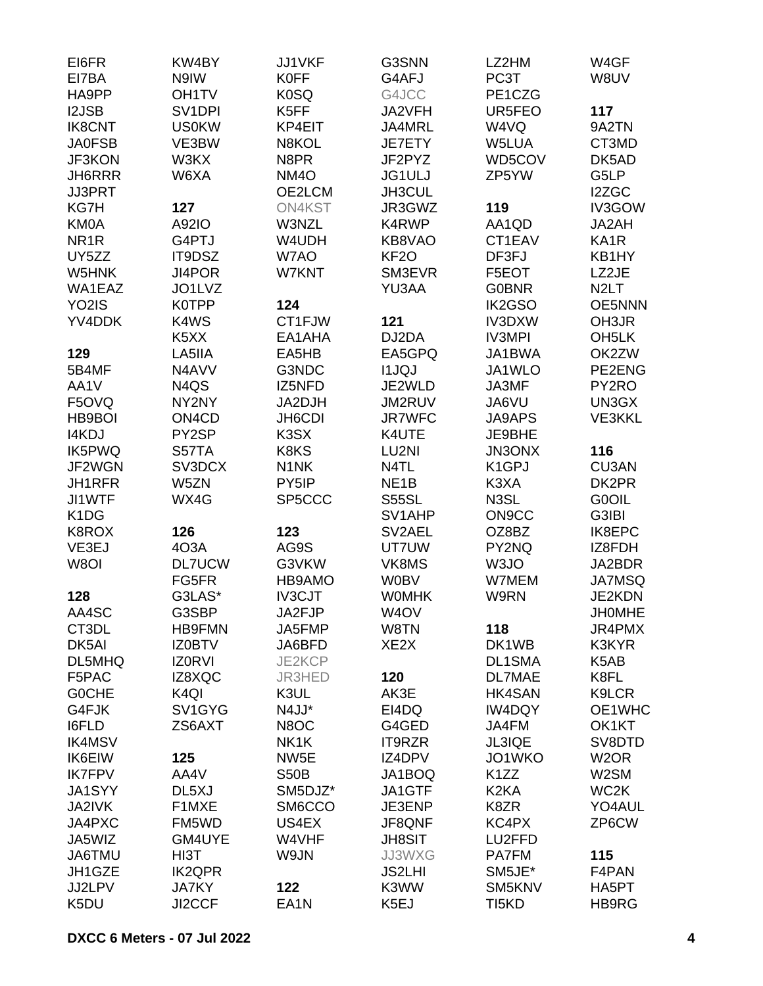| 117<br>K5FF<br>UR5FEO<br><b>I2JSB</b><br>SV <sub>1</sub> DPI<br>JA2VFH<br><b>IK8CNT</b><br><b>US0KW</b><br>KP4EIT<br>JA4MRL<br>W4VQ<br>9A2TN<br>N8KOL<br>W5LUA<br><b>JA0FSB</b><br>VE3BW<br>JE7ETY<br>CT3MD<br>N8PR<br>WD5COV<br><b>JF3KON</b><br>W3KX<br>JF2PYZ<br>DK5AD<br>NM <sub>4</sub> O<br>G5LP<br>JH6RRR<br>W6XA<br><b>JG1ULJ</b><br>ZP5YW<br>JH3CUL<br>I2ZGC<br><b>JJ3PRT</b><br>OE2LCM<br>JR3GWZ<br>119<br>IV3GOW<br>KG7H<br>127<br>ON4KST<br><b>KM0A</b><br>A92IO<br>W3NZL<br>K4RWP<br>AA1QD<br>JA2AH<br>NR <sub>1</sub> R<br>G4PTJ<br>W4UDH<br>KB8VAO<br>CT1EAV<br>KA <sub>1</sub> R<br>W7AO<br>KF <sub>20</sub><br>UY5ZZ<br>IT9DSZ<br>DF3FJ<br>KB1HY<br>SM3EVR<br>LZ2JE<br>W5HNK<br>JI4POR<br>W7KNT<br>F5EOT<br>N <sub>2</sub> LT<br>WA1EAZ<br>JO1LVZ<br>YU3AA<br><b>G0BNR</b><br>YO2IS<br>124<br>IK2GSO<br><b>OE5NNN</b><br><b>K0TPP</b><br>YV4DDK<br>K4WS<br>CT1FJW<br>121<br>IV3DXW<br>OH3JR<br>DJ2DA<br><b>IV3MPI</b><br>OH <sub>5</sub> LK<br>K <sub>5</sub> X <sub>X</sub><br>EA1AHA<br>EA5GPQ<br>JA1BWA<br>OK2ZW<br>129<br>LA5IIA<br>EA5HB<br>5B4MF<br>G3NDC<br><b>I1JQJ</b><br>JA1WLO<br>PE2ENG<br>N4AVV<br>JE2WLD<br>PY2RO<br>AA1V<br>N <sub>4</sub> Q <sub>S</sub><br>IZ5NFD<br>JA3MF<br>JM2RUV<br>UN3GX<br>F5OVQ<br>NY2NY<br>JA2DJH<br>JA6VU<br>ON <sub>4</sub> C <sub>D</sub><br>JH6CDI<br><b>JR7WFC</b><br><b>VE3KKL</b><br>HB9BOI<br><b>JA9APS</b><br>I4KDJ<br>PY2SP<br>K <sub>3</sub> SX<br>K4UTE<br>JE9BHE<br><b>IK5PWQ</b><br>116<br>S57TA<br>K8KS<br>LU2NI<br><b>JN3ONX</b><br>JF2WGN<br>SV3DCX<br>N4TL<br>K <sub>1</sub> GPJ<br>CU3AN<br>N <sub>1</sub> NK<br>NE <sub>1</sub> B<br>JH1RFR<br>W5ZN<br>PY5IP<br>K3XA<br>DK2PR<br>N3SL<br>G0OIL<br>JI1WTF<br>WX4G<br>SP5CCC<br><b>S55SL</b><br>SV1AHP<br>ON <sub>9</sub> CC<br>G3IBI<br>K <sub>1</sub> D <sub>G</sub><br>126<br>123<br>K8ROX<br>SV2AEL<br>OZ8BZ<br>IK8EPC<br>AG9S<br>UT7UW<br>PY2NQ<br>VE3EJ<br>403A<br>IZ8FDH<br>W8OI<br><b>DL7UCW</b><br>G3VKW<br>VK8MS<br>W3JO<br>JA2BDR<br>FG5FR<br>HB9AMO<br><b>W0BV</b><br>W7MEM<br><b>JA7MSQ</b><br>G3LAS*<br>IV3CJT<br>JE2KDN<br>128<br><b>WOMHK</b><br>W9RN<br>AA4SC<br>G3SBP<br>JA2FJP<br>W <sub>4</sub> OV<br><b>JHOMHE</b><br>CT3DL<br><b>HB9FMN</b><br>W8TN<br>118<br>JR4PMX<br>JA5FMP<br>DK5AI<br>XE <sub>2</sub> X<br>K3KYR<br><b>IZ0BTV</b><br>JA6BFD<br>DK1WB<br><b>DL1SMA</b><br>DL5MHQ<br><b>IZORVI</b><br>JE2KCP<br>K5AB<br>F5PAC<br>IZ8XQC<br><b>JR3HED</b><br>120<br><b>DL7MAE</b><br>K8FL<br>K3UL<br>K9LCR<br><b>GOCHE</b><br>K <sub>4Q</sub><br>AK3E<br><b>HK4SAN</b><br>N4JJ*<br>OE1WHC<br>G4FJK<br>SV1GYG<br>EI4DQ<br>IW4DQY<br><b>I6FLD</b><br>ZS6AXT<br>N8OC<br>G4GED<br>JA4FM<br>OK1KT<br><b>IK4MSV</b><br>NK <sub>1</sub> K<br>IT9RZR<br>JL3IQE<br>SV8DTD<br><b>IK6EIW</b><br>125<br>NW <sub>5</sub> E<br>IZ4DPV<br>JO1WKO<br>W <sub>2</sub> OR<br>AA4V<br><b>IK7FPV</b><br><b>S50B</b><br>JA1BOQ<br>K <sub>1</sub> ZZ<br>W2SM<br>WC2K<br>DL5XJ<br>SM5DJZ*<br>JA1GTF<br>K <sub>2</sub> KA<br><b>JA1SYY</b><br>SM6CCO<br>YO4AUL<br>JA2IVK<br>F1MXE<br>JE3ENP<br>K8ZR<br>ZP6CW<br>JA4PXC<br>FM5WD<br>US4EX<br>JF8QNF<br>KC4PX<br>W4VHF<br>JA5WIZ<br>GM4UYE<br><b>JH8SIT</b><br>LU2FFD<br>HI3T<br>W9JN<br>115<br><b>JA6TMU</b><br>JJ3WXG<br><b>PA7FM</b><br>JH1GZE<br><b>IK2QPR</b><br><b>JS2LHI</b><br>SM5JE*<br>F4PAN | EI6FR<br>EI7BA | KW4BY<br>N9IW      | <b>JJ1VKF</b><br><b>K0FF</b> | G3SNN<br>G4AFJ | LZ2HM<br>PC3T | W4GF<br>W8UV |
|---------------------------------------------------------------------------------------------------------------------------------------------------------------------------------------------------------------------------------------------------------------------------------------------------------------------------------------------------------------------------------------------------------------------------------------------------------------------------------------------------------------------------------------------------------------------------------------------------------------------------------------------------------------------------------------------------------------------------------------------------------------------------------------------------------------------------------------------------------------------------------------------------------------------------------------------------------------------------------------------------------------------------------------------------------------------------------------------------------------------------------------------------------------------------------------------------------------------------------------------------------------------------------------------------------------------------------------------------------------------------------------------------------------------------------------------------------------------------------------------------------------------------------------------------------------------------------------------------------------------------------------------------------------------------------------------------------------------------------------------------------------------------------------------------------------------------------------------------------------------------------------------------------------------------------------------------------------------------------------------------------------------------------------------------------------------------------------------------------------------------------------------------------------------------------------------------------------------------------------------------------------------------------------------------------------------------------------------------------------------------------------------------------------------------------------------------------------------------------------------------------------------------------------------------------------------------------------------------------------------------------------------------------------------------------------------------------------------------------------------------------------------------------------------------------------------------------------------------------------------------------------------------------------------------------------------------------------------------------------------------------------------------------------------------------------------------------------------------------------------------------------------------------------------------------------------------------------------------------------------------------------------------------|----------------|--------------------|------------------------------|----------------|---------------|--------------|
|                                                                                                                                                                                                                                                                                                                                                                                                                                                                                                                                                                                                                                                                                                                                                                                                                                                                                                                                                                                                                                                                                                                                                                                                                                                                                                                                                                                                                                                                                                                                                                                                                                                                                                                                                                                                                                                                                                                                                                                                                                                                                                                                                                                                                                                                                                                                                                                                                                                                                                                                                                                                                                                                                                                                                                                                                                                                                                                                                                                                                                                                                                                                                                                                                                                                                 | HA9PP          | OH <sub>1</sub> TV | K0SQ                         | G4JCC          | PE1CZG        |              |
|                                                                                                                                                                                                                                                                                                                                                                                                                                                                                                                                                                                                                                                                                                                                                                                                                                                                                                                                                                                                                                                                                                                                                                                                                                                                                                                                                                                                                                                                                                                                                                                                                                                                                                                                                                                                                                                                                                                                                                                                                                                                                                                                                                                                                                                                                                                                                                                                                                                                                                                                                                                                                                                                                                                                                                                                                                                                                                                                                                                                                                                                                                                                                                                                                                                                                 |                |                    |                              |                |               |              |
|                                                                                                                                                                                                                                                                                                                                                                                                                                                                                                                                                                                                                                                                                                                                                                                                                                                                                                                                                                                                                                                                                                                                                                                                                                                                                                                                                                                                                                                                                                                                                                                                                                                                                                                                                                                                                                                                                                                                                                                                                                                                                                                                                                                                                                                                                                                                                                                                                                                                                                                                                                                                                                                                                                                                                                                                                                                                                                                                                                                                                                                                                                                                                                                                                                                                                 |                |                    |                              |                |               |              |
|                                                                                                                                                                                                                                                                                                                                                                                                                                                                                                                                                                                                                                                                                                                                                                                                                                                                                                                                                                                                                                                                                                                                                                                                                                                                                                                                                                                                                                                                                                                                                                                                                                                                                                                                                                                                                                                                                                                                                                                                                                                                                                                                                                                                                                                                                                                                                                                                                                                                                                                                                                                                                                                                                                                                                                                                                                                                                                                                                                                                                                                                                                                                                                                                                                                                                 |                |                    |                              |                |               |              |
|                                                                                                                                                                                                                                                                                                                                                                                                                                                                                                                                                                                                                                                                                                                                                                                                                                                                                                                                                                                                                                                                                                                                                                                                                                                                                                                                                                                                                                                                                                                                                                                                                                                                                                                                                                                                                                                                                                                                                                                                                                                                                                                                                                                                                                                                                                                                                                                                                                                                                                                                                                                                                                                                                                                                                                                                                                                                                                                                                                                                                                                                                                                                                                                                                                                                                 |                |                    |                              |                |               |              |
|                                                                                                                                                                                                                                                                                                                                                                                                                                                                                                                                                                                                                                                                                                                                                                                                                                                                                                                                                                                                                                                                                                                                                                                                                                                                                                                                                                                                                                                                                                                                                                                                                                                                                                                                                                                                                                                                                                                                                                                                                                                                                                                                                                                                                                                                                                                                                                                                                                                                                                                                                                                                                                                                                                                                                                                                                                                                                                                                                                                                                                                                                                                                                                                                                                                                                 |                |                    |                              |                |               |              |
|                                                                                                                                                                                                                                                                                                                                                                                                                                                                                                                                                                                                                                                                                                                                                                                                                                                                                                                                                                                                                                                                                                                                                                                                                                                                                                                                                                                                                                                                                                                                                                                                                                                                                                                                                                                                                                                                                                                                                                                                                                                                                                                                                                                                                                                                                                                                                                                                                                                                                                                                                                                                                                                                                                                                                                                                                                                                                                                                                                                                                                                                                                                                                                                                                                                                                 |                |                    |                              |                |               |              |
|                                                                                                                                                                                                                                                                                                                                                                                                                                                                                                                                                                                                                                                                                                                                                                                                                                                                                                                                                                                                                                                                                                                                                                                                                                                                                                                                                                                                                                                                                                                                                                                                                                                                                                                                                                                                                                                                                                                                                                                                                                                                                                                                                                                                                                                                                                                                                                                                                                                                                                                                                                                                                                                                                                                                                                                                                                                                                                                                                                                                                                                                                                                                                                                                                                                                                 |                |                    |                              |                |               |              |
|                                                                                                                                                                                                                                                                                                                                                                                                                                                                                                                                                                                                                                                                                                                                                                                                                                                                                                                                                                                                                                                                                                                                                                                                                                                                                                                                                                                                                                                                                                                                                                                                                                                                                                                                                                                                                                                                                                                                                                                                                                                                                                                                                                                                                                                                                                                                                                                                                                                                                                                                                                                                                                                                                                                                                                                                                                                                                                                                                                                                                                                                                                                                                                                                                                                                                 |                |                    |                              |                |               |              |
|                                                                                                                                                                                                                                                                                                                                                                                                                                                                                                                                                                                                                                                                                                                                                                                                                                                                                                                                                                                                                                                                                                                                                                                                                                                                                                                                                                                                                                                                                                                                                                                                                                                                                                                                                                                                                                                                                                                                                                                                                                                                                                                                                                                                                                                                                                                                                                                                                                                                                                                                                                                                                                                                                                                                                                                                                                                                                                                                                                                                                                                                                                                                                                                                                                                                                 |                |                    |                              |                |               |              |
|                                                                                                                                                                                                                                                                                                                                                                                                                                                                                                                                                                                                                                                                                                                                                                                                                                                                                                                                                                                                                                                                                                                                                                                                                                                                                                                                                                                                                                                                                                                                                                                                                                                                                                                                                                                                                                                                                                                                                                                                                                                                                                                                                                                                                                                                                                                                                                                                                                                                                                                                                                                                                                                                                                                                                                                                                                                                                                                                                                                                                                                                                                                                                                                                                                                                                 |                |                    |                              |                |               |              |
|                                                                                                                                                                                                                                                                                                                                                                                                                                                                                                                                                                                                                                                                                                                                                                                                                                                                                                                                                                                                                                                                                                                                                                                                                                                                                                                                                                                                                                                                                                                                                                                                                                                                                                                                                                                                                                                                                                                                                                                                                                                                                                                                                                                                                                                                                                                                                                                                                                                                                                                                                                                                                                                                                                                                                                                                                                                                                                                                                                                                                                                                                                                                                                                                                                                                                 |                |                    |                              |                |               |              |
|                                                                                                                                                                                                                                                                                                                                                                                                                                                                                                                                                                                                                                                                                                                                                                                                                                                                                                                                                                                                                                                                                                                                                                                                                                                                                                                                                                                                                                                                                                                                                                                                                                                                                                                                                                                                                                                                                                                                                                                                                                                                                                                                                                                                                                                                                                                                                                                                                                                                                                                                                                                                                                                                                                                                                                                                                                                                                                                                                                                                                                                                                                                                                                                                                                                                                 |                |                    |                              |                |               |              |
|                                                                                                                                                                                                                                                                                                                                                                                                                                                                                                                                                                                                                                                                                                                                                                                                                                                                                                                                                                                                                                                                                                                                                                                                                                                                                                                                                                                                                                                                                                                                                                                                                                                                                                                                                                                                                                                                                                                                                                                                                                                                                                                                                                                                                                                                                                                                                                                                                                                                                                                                                                                                                                                                                                                                                                                                                                                                                                                                                                                                                                                                                                                                                                                                                                                                                 |                |                    |                              |                |               |              |
|                                                                                                                                                                                                                                                                                                                                                                                                                                                                                                                                                                                                                                                                                                                                                                                                                                                                                                                                                                                                                                                                                                                                                                                                                                                                                                                                                                                                                                                                                                                                                                                                                                                                                                                                                                                                                                                                                                                                                                                                                                                                                                                                                                                                                                                                                                                                                                                                                                                                                                                                                                                                                                                                                                                                                                                                                                                                                                                                                                                                                                                                                                                                                                                                                                                                                 |                |                    |                              |                |               |              |
|                                                                                                                                                                                                                                                                                                                                                                                                                                                                                                                                                                                                                                                                                                                                                                                                                                                                                                                                                                                                                                                                                                                                                                                                                                                                                                                                                                                                                                                                                                                                                                                                                                                                                                                                                                                                                                                                                                                                                                                                                                                                                                                                                                                                                                                                                                                                                                                                                                                                                                                                                                                                                                                                                                                                                                                                                                                                                                                                                                                                                                                                                                                                                                                                                                                                                 |                |                    |                              |                |               |              |
|                                                                                                                                                                                                                                                                                                                                                                                                                                                                                                                                                                                                                                                                                                                                                                                                                                                                                                                                                                                                                                                                                                                                                                                                                                                                                                                                                                                                                                                                                                                                                                                                                                                                                                                                                                                                                                                                                                                                                                                                                                                                                                                                                                                                                                                                                                                                                                                                                                                                                                                                                                                                                                                                                                                                                                                                                                                                                                                                                                                                                                                                                                                                                                                                                                                                                 |                |                    |                              |                |               |              |
|                                                                                                                                                                                                                                                                                                                                                                                                                                                                                                                                                                                                                                                                                                                                                                                                                                                                                                                                                                                                                                                                                                                                                                                                                                                                                                                                                                                                                                                                                                                                                                                                                                                                                                                                                                                                                                                                                                                                                                                                                                                                                                                                                                                                                                                                                                                                                                                                                                                                                                                                                                                                                                                                                                                                                                                                                                                                                                                                                                                                                                                                                                                                                                                                                                                                                 |                |                    |                              |                |               |              |
|                                                                                                                                                                                                                                                                                                                                                                                                                                                                                                                                                                                                                                                                                                                                                                                                                                                                                                                                                                                                                                                                                                                                                                                                                                                                                                                                                                                                                                                                                                                                                                                                                                                                                                                                                                                                                                                                                                                                                                                                                                                                                                                                                                                                                                                                                                                                                                                                                                                                                                                                                                                                                                                                                                                                                                                                                                                                                                                                                                                                                                                                                                                                                                                                                                                                                 |                |                    |                              |                |               |              |
|                                                                                                                                                                                                                                                                                                                                                                                                                                                                                                                                                                                                                                                                                                                                                                                                                                                                                                                                                                                                                                                                                                                                                                                                                                                                                                                                                                                                                                                                                                                                                                                                                                                                                                                                                                                                                                                                                                                                                                                                                                                                                                                                                                                                                                                                                                                                                                                                                                                                                                                                                                                                                                                                                                                                                                                                                                                                                                                                                                                                                                                                                                                                                                                                                                                                                 |                |                    |                              |                |               |              |
|                                                                                                                                                                                                                                                                                                                                                                                                                                                                                                                                                                                                                                                                                                                                                                                                                                                                                                                                                                                                                                                                                                                                                                                                                                                                                                                                                                                                                                                                                                                                                                                                                                                                                                                                                                                                                                                                                                                                                                                                                                                                                                                                                                                                                                                                                                                                                                                                                                                                                                                                                                                                                                                                                                                                                                                                                                                                                                                                                                                                                                                                                                                                                                                                                                                                                 |                |                    |                              |                |               |              |
|                                                                                                                                                                                                                                                                                                                                                                                                                                                                                                                                                                                                                                                                                                                                                                                                                                                                                                                                                                                                                                                                                                                                                                                                                                                                                                                                                                                                                                                                                                                                                                                                                                                                                                                                                                                                                                                                                                                                                                                                                                                                                                                                                                                                                                                                                                                                                                                                                                                                                                                                                                                                                                                                                                                                                                                                                                                                                                                                                                                                                                                                                                                                                                                                                                                                                 |                |                    |                              |                |               |              |
|                                                                                                                                                                                                                                                                                                                                                                                                                                                                                                                                                                                                                                                                                                                                                                                                                                                                                                                                                                                                                                                                                                                                                                                                                                                                                                                                                                                                                                                                                                                                                                                                                                                                                                                                                                                                                                                                                                                                                                                                                                                                                                                                                                                                                                                                                                                                                                                                                                                                                                                                                                                                                                                                                                                                                                                                                                                                                                                                                                                                                                                                                                                                                                                                                                                                                 |                |                    |                              |                |               |              |
|                                                                                                                                                                                                                                                                                                                                                                                                                                                                                                                                                                                                                                                                                                                                                                                                                                                                                                                                                                                                                                                                                                                                                                                                                                                                                                                                                                                                                                                                                                                                                                                                                                                                                                                                                                                                                                                                                                                                                                                                                                                                                                                                                                                                                                                                                                                                                                                                                                                                                                                                                                                                                                                                                                                                                                                                                                                                                                                                                                                                                                                                                                                                                                                                                                                                                 |                |                    |                              |                |               |              |
|                                                                                                                                                                                                                                                                                                                                                                                                                                                                                                                                                                                                                                                                                                                                                                                                                                                                                                                                                                                                                                                                                                                                                                                                                                                                                                                                                                                                                                                                                                                                                                                                                                                                                                                                                                                                                                                                                                                                                                                                                                                                                                                                                                                                                                                                                                                                                                                                                                                                                                                                                                                                                                                                                                                                                                                                                                                                                                                                                                                                                                                                                                                                                                                                                                                                                 |                |                    |                              |                |               |              |
|                                                                                                                                                                                                                                                                                                                                                                                                                                                                                                                                                                                                                                                                                                                                                                                                                                                                                                                                                                                                                                                                                                                                                                                                                                                                                                                                                                                                                                                                                                                                                                                                                                                                                                                                                                                                                                                                                                                                                                                                                                                                                                                                                                                                                                                                                                                                                                                                                                                                                                                                                                                                                                                                                                                                                                                                                                                                                                                                                                                                                                                                                                                                                                                                                                                                                 |                |                    |                              |                |               |              |
|                                                                                                                                                                                                                                                                                                                                                                                                                                                                                                                                                                                                                                                                                                                                                                                                                                                                                                                                                                                                                                                                                                                                                                                                                                                                                                                                                                                                                                                                                                                                                                                                                                                                                                                                                                                                                                                                                                                                                                                                                                                                                                                                                                                                                                                                                                                                                                                                                                                                                                                                                                                                                                                                                                                                                                                                                                                                                                                                                                                                                                                                                                                                                                                                                                                                                 |                |                    |                              |                |               |              |
|                                                                                                                                                                                                                                                                                                                                                                                                                                                                                                                                                                                                                                                                                                                                                                                                                                                                                                                                                                                                                                                                                                                                                                                                                                                                                                                                                                                                                                                                                                                                                                                                                                                                                                                                                                                                                                                                                                                                                                                                                                                                                                                                                                                                                                                                                                                                                                                                                                                                                                                                                                                                                                                                                                                                                                                                                                                                                                                                                                                                                                                                                                                                                                                                                                                                                 |                |                    |                              |                |               |              |
|                                                                                                                                                                                                                                                                                                                                                                                                                                                                                                                                                                                                                                                                                                                                                                                                                                                                                                                                                                                                                                                                                                                                                                                                                                                                                                                                                                                                                                                                                                                                                                                                                                                                                                                                                                                                                                                                                                                                                                                                                                                                                                                                                                                                                                                                                                                                                                                                                                                                                                                                                                                                                                                                                                                                                                                                                                                                                                                                                                                                                                                                                                                                                                                                                                                                                 |                |                    |                              |                |               |              |
|                                                                                                                                                                                                                                                                                                                                                                                                                                                                                                                                                                                                                                                                                                                                                                                                                                                                                                                                                                                                                                                                                                                                                                                                                                                                                                                                                                                                                                                                                                                                                                                                                                                                                                                                                                                                                                                                                                                                                                                                                                                                                                                                                                                                                                                                                                                                                                                                                                                                                                                                                                                                                                                                                                                                                                                                                                                                                                                                                                                                                                                                                                                                                                                                                                                                                 |                |                    |                              |                |               |              |
|                                                                                                                                                                                                                                                                                                                                                                                                                                                                                                                                                                                                                                                                                                                                                                                                                                                                                                                                                                                                                                                                                                                                                                                                                                                                                                                                                                                                                                                                                                                                                                                                                                                                                                                                                                                                                                                                                                                                                                                                                                                                                                                                                                                                                                                                                                                                                                                                                                                                                                                                                                                                                                                                                                                                                                                                                                                                                                                                                                                                                                                                                                                                                                                                                                                                                 |                |                    |                              |                |               |              |
|                                                                                                                                                                                                                                                                                                                                                                                                                                                                                                                                                                                                                                                                                                                                                                                                                                                                                                                                                                                                                                                                                                                                                                                                                                                                                                                                                                                                                                                                                                                                                                                                                                                                                                                                                                                                                                                                                                                                                                                                                                                                                                                                                                                                                                                                                                                                                                                                                                                                                                                                                                                                                                                                                                                                                                                                                                                                                                                                                                                                                                                                                                                                                                                                                                                                                 |                |                    |                              |                |               |              |
|                                                                                                                                                                                                                                                                                                                                                                                                                                                                                                                                                                                                                                                                                                                                                                                                                                                                                                                                                                                                                                                                                                                                                                                                                                                                                                                                                                                                                                                                                                                                                                                                                                                                                                                                                                                                                                                                                                                                                                                                                                                                                                                                                                                                                                                                                                                                                                                                                                                                                                                                                                                                                                                                                                                                                                                                                                                                                                                                                                                                                                                                                                                                                                                                                                                                                 |                |                    |                              |                |               |              |
|                                                                                                                                                                                                                                                                                                                                                                                                                                                                                                                                                                                                                                                                                                                                                                                                                                                                                                                                                                                                                                                                                                                                                                                                                                                                                                                                                                                                                                                                                                                                                                                                                                                                                                                                                                                                                                                                                                                                                                                                                                                                                                                                                                                                                                                                                                                                                                                                                                                                                                                                                                                                                                                                                                                                                                                                                                                                                                                                                                                                                                                                                                                                                                                                                                                                                 |                |                    |                              |                |               |              |
|                                                                                                                                                                                                                                                                                                                                                                                                                                                                                                                                                                                                                                                                                                                                                                                                                                                                                                                                                                                                                                                                                                                                                                                                                                                                                                                                                                                                                                                                                                                                                                                                                                                                                                                                                                                                                                                                                                                                                                                                                                                                                                                                                                                                                                                                                                                                                                                                                                                                                                                                                                                                                                                                                                                                                                                                                                                                                                                                                                                                                                                                                                                                                                                                                                                                                 |                |                    |                              |                |               |              |
|                                                                                                                                                                                                                                                                                                                                                                                                                                                                                                                                                                                                                                                                                                                                                                                                                                                                                                                                                                                                                                                                                                                                                                                                                                                                                                                                                                                                                                                                                                                                                                                                                                                                                                                                                                                                                                                                                                                                                                                                                                                                                                                                                                                                                                                                                                                                                                                                                                                                                                                                                                                                                                                                                                                                                                                                                                                                                                                                                                                                                                                                                                                                                                                                                                                                                 |                |                    |                              |                |               |              |
|                                                                                                                                                                                                                                                                                                                                                                                                                                                                                                                                                                                                                                                                                                                                                                                                                                                                                                                                                                                                                                                                                                                                                                                                                                                                                                                                                                                                                                                                                                                                                                                                                                                                                                                                                                                                                                                                                                                                                                                                                                                                                                                                                                                                                                                                                                                                                                                                                                                                                                                                                                                                                                                                                                                                                                                                                                                                                                                                                                                                                                                                                                                                                                                                                                                                                 |                |                    |                              |                |               |              |
|                                                                                                                                                                                                                                                                                                                                                                                                                                                                                                                                                                                                                                                                                                                                                                                                                                                                                                                                                                                                                                                                                                                                                                                                                                                                                                                                                                                                                                                                                                                                                                                                                                                                                                                                                                                                                                                                                                                                                                                                                                                                                                                                                                                                                                                                                                                                                                                                                                                                                                                                                                                                                                                                                                                                                                                                                                                                                                                                                                                                                                                                                                                                                                                                                                                                                 |                |                    |                              |                |               |              |
|                                                                                                                                                                                                                                                                                                                                                                                                                                                                                                                                                                                                                                                                                                                                                                                                                                                                                                                                                                                                                                                                                                                                                                                                                                                                                                                                                                                                                                                                                                                                                                                                                                                                                                                                                                                                                                                                                                                                                                                                                                                                                                                                                                                                                                                                                                                                                                                                                                                                                                                                                                                                                                                                                                                                                                                                                                                                                                                                                                                                                                                                                                                                                                                                                                                                                 |                |                    |                              |                |               |              |
|                                                                                                                                                                                                                                                                                                                                                                                                                                                                                                                                                                                                                                                                                                                                                                                                                                                                                                                                                                                                                                                                                                                                                                                                                                                                                                                                                                                                                                                                                                                                                                                                                                                                                                                                                                                                                                                                                                                                                                                                                                                                                                                                                                                                                                                                                                                                                                                                                                                                                                                                                                                                                                                                                                                                                                                                                                                                                                                                                                                                                                                                                                                                                                                                                                                                                 |                |                    |                              |                |               |              |
|                                                                                                                                                                                                                                                                                                                                                                                                                                                                                                                                                                                                                                                                                                                                                                                                                                                                                                                                                                                                                                                                                                                                                                                                                                                                                                                                                                                                                                                                                                                                                                                                                                                                                                                                                                                                                                                                                                                                                                                                                                                                                                                                                                                                                                                                                                                                                                                                                                                                                                                                                                                                                                                                                                                                                                                                                                                                                                                                                                                                                                                                                                                                                                                                                                                                                 |                |                    |                              |                |               |              |
|                                                                                                                                                                                                                                                                                                                                                                                                                                                                                                                                                                                                                                                                                                                                                                                                                                                                                                                                                                                                                                                                                                                                                                                                                                                                                                                                                                                                                                                                                                                                                                                                                                                                                                                                                                                                                                                                                                                                                                                                                                                                                                                                                                                                                                                                                                                                                                                                                                                                                                                                                                                                                                                                                                                                                                                                                                                                                                                                                                                                                                                                                                                                                                                                                                                                                 |                |                    |                              |                |               |              |
|                                                                                                                                                                                                                                                                                                                                                                                                                                                                                                                                                                                                                                                                                                                                                                                                                                                                                                                                                                                                                                                                                                                                                                                                                                                                                                                                                                                                                                                                                                                                                                                                                                                                                                                                                                                                                                                                                                                                                                                                                                                                                                                                                                                                                                                                                                                                                                                                                                                                                                                                                                                                                                                                                                                                                                                                                                                                                                                                                                                                                                                                                                                                                                                                                                                                                 |                |                    |                              |                |               |              |
|                                                                                                                                                                                                                                                                                                                                                                                                                                                                                                                                                                                                                                                                                                                                                                                                                                                                                                                                                                                                                                                                                                                                                                                                                                                                                                                                                                                                                                                                                                                                                                                                                                                                                                                                                                                                                                                                                                                                                                                                                                                                                                                                                                                                                                                                                                                                                                                                                                                                                                                                                                                                                                                                                                                                                                                                                                                                                                                                                                                                                                                                                                                                                                                                                                                                                 |                |                    |                              |                |               |              |
|                                                                                                                                                                                                                                                                                                                                                                                                                                                                                                                                                                                                                                                                                                                                                                                                                                                                                                                                                                                                                                                                                                                                                                                                                                                                                                                                                                                                                                                                                                                                                                                                                                                                                                                                                                                                                                                                                                                                                                                                                                                                                                                                                                                                                                                                                                                                                                                                                                                                                                                                                                                                                                                                                                                                                                                                                                                                                                                                                                                                                                                                                                                                                                                                                                                                                 |                |                    |                              |                |               |              |
|                                                                                                                                                                                                                                                                                                                                                                                                                                                                                                                                                                                                                                                                                                                                                                                                                                                                                                                                                                                                                                                                                                                                                                                                                                                                                                                                                                                                                                                                                                                                                                                                                                                                                                                                                                                                                                                                                                                                                                                                                                                                                                                                                                                                                                                                                                                                                                                                                                                                                                                                                                                                                                                                                                                                                                                                                                                                                                                                                                                                                                                                                                                                                                                                                                                                                 |                |                    |                              |                |               |              |
|                                                                                                                                                                                                                                                                                                                                                                                                                                                                                                                                                                                                                                                                                                                                                                                                                                                                                                                                                                                                                                                                                                                                                                                                                                                                                                                                                                                                                                                                                                                                                                                                                                                                                                                                                                                                                                                                                                                                                                                                                                                                                                                                                                                                                                                                                                                                                                                                                                                                                                                                                                                                                                                                                                                                                                                                                                                                                                                                                                                                                                                                                                                                                                                                                                                                                 |                |                    |                              |                |               |              |
|                                                                                                                                                                                                                                                                                                                                                                                                                                                                                                                                                                                                                                                                                                                                                                                                                                                                                                                                                                                                                                                                                                                                                                                                                                                                                                                                                                                                                                                                                                                                                                                                                                                                                                                                                                                                                                                                                                                                                                                                                                                                                                                                                                                                                                                                                                                                                                                                                                                                                                                                                                                                                                                                                                                                                                                                                                                                                                                                                                                                                                                                                                                                                                                                                                                                                 |                |                    |                              |                |               |              |
|                                                                                                                                                                                                                                                                                                                                                                                                                                                                                                                                                                                                                                                                                                                                                                                                                                                                                                                                                                                                                                                                                                                                                                                                                                                                                                                                                                                                                                                                                                                                                                                                                                                                                                                                                                                                                                                                                                                                                                                                                                                                                                                                                                                                                                                                                                                                                                                                                                                                                                                                                                                                                                                                                                                                                                                                                                                                                                                                                                                                                                                                                                                                                                                                                                                                                 |                |                    |                              |                |               |              |
| JJ2LPV<br>K3WW<br><b>JA7KY</b><br>122<br>SM5KNV<br>HA5PT                                                                                                                                                                                                                                                                                                                                                                                                                                                                                                                                                                                                                                                                                                                                                                                                                                                                                                                                                                                                                                                                                                                                                                                                                                                                                                                                                                                                                                                                                                                                                                                                                                                                                                                                                                                                                                                                                                                                                                                                                                                                                                                                                                                                                                                                                                                                                                                                                                                                                                                                                                                                                                                                                                                                                                                                                                                                                                                                                                                                                                                                                                                                                                                                                        |                |                    |                              |                |               |              |
| K5DU<br>JI2CCF<br>EA <sub>1</sub> N<br>K5EJ<br>TI <sub>5</sub> KD<br>HB9RG                                                                                                                                                                                                                                                                                                                                                                                                                                                                                                                                                                                                                                                                                                                                                                                                                                                                                                                                                                                                                                                                                                                                                                                                                                                                                                                                                                                                                                                                                                                                                                                                                                                                                                                                                                                                                                                                                                                                                                                                                                                                                                                                                                                                                                                                                                                                                                                                                                                                                                                                                                                                                                                                                                                                                                                                                                                                                                                                                                                                                                                                                                                                                                                                      |                |                    |                              |                |               |              |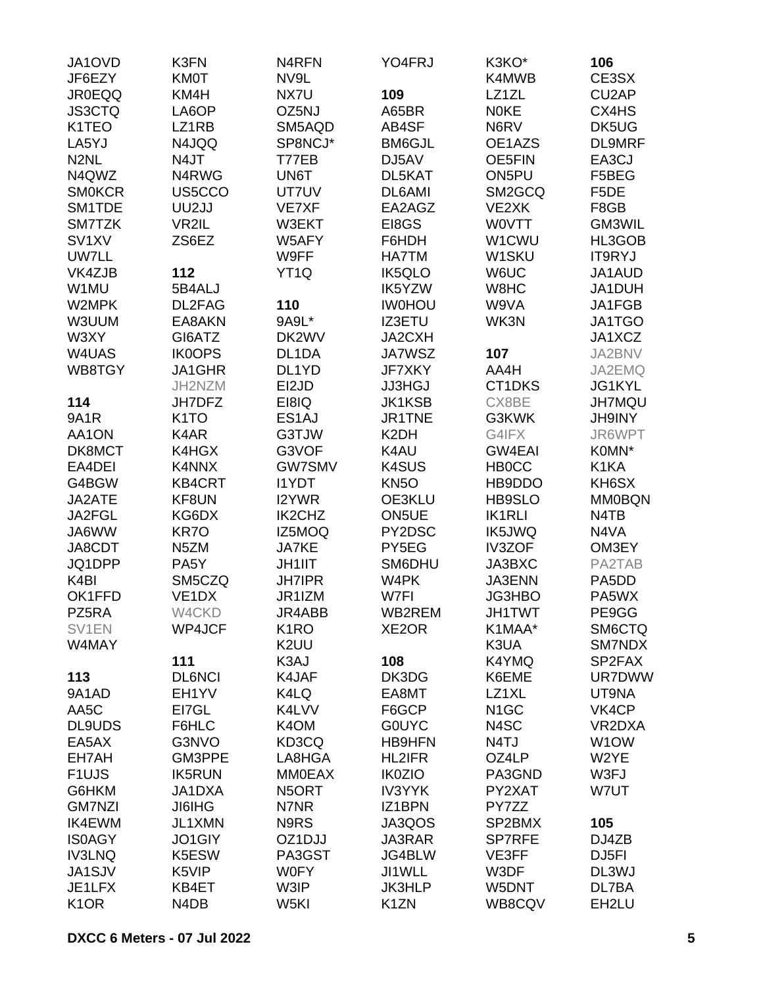| JA1OVD             | K3FN                          | N4RFN              | YO4FRJ            | K3KO*              | 106                |
|--------------------|-------------------------------|--------------------|-------------------|--------------------|--------------------|
| JF6EZY             | <b>KM0T</b>                   | NV9L               |                   | K4MWB              | CE3SX              |
| <b>JR0EQQ</b>      | KM4H                          | NX7U               | 109               | LZ1ZL              | CU <sub>2</sub> AP |
| <b>JS3CTQ</b>      | LA6OP                         | OZ5NJ              | A65BR             | <b>NOKE</b>        | CX4HS              |
| K1TEO              | LZ1RB                         | SM5AQD             | AB4SF             | N6RV               | DK5UG              |
| LA5YJ              | N4JQQ                         | SP8NCJ*            | <b>BM6GJL</b>     | OE1AZS             | DL9MRF             |
| N <sub>2</sub> NL  | N4JT                          | T77EB              | DJ5AV             | <b>OE5FIN</b>      | EA3CJ              |
| N4QWZ              | N4RWG                         | UN6T               | DL5KAT            | ON5PU              | F5BEG              |
| <b>SMOKCR</b>      | US5CCO                        | UT7UV              | DL6AMI            | SM2GCQ             | F5DE               |
| SM1TDE             | UU2JJ                         | VE7XF              | EA2AGZ            | VE2XK              | F8GB               |
| SM7TZK             | VR2IL                         | W3EKT              | EI8GS             | <b>WOVTT</b>       | GM3WIL             |
| SV <sub>1</sub> XV | ZS6EZ                         | W5AFY              | F6HDH             | W1CWU              | HL3GOB             |
| <b>UW7LL</b>       |                               | W9FF               | <b>HA7TM</b>      | W <sub>1</sub> SKU | <b>IT9RYJ</b>      |
| VK4ZJB             | 112                           | YT <sub>1Q</sub>   | <b>IK5QLO</b>     | W6UC               | JA1AUD             |
| W1MU               | 5B4ALJ                        |                    | IK5YZW            | W8HC               | JA1DUH             |
| W2MPK              | DL2FAG                        | 110                | <b>IW0HOU</b>     | W9VA               | JA1FGB             |
| W3UUM              | EA8AKN                        | 9A9L*              | IZ3ETU            | WK3N               | JA1TGO             |
| W3XY               | GI6ATZ                        | DK2WV              | JA2CXH            |                    | JA1XCZ             |
| W4UAS              | <b>IK0OPS</b>                 | DL <sub>1</sub> DA | <b>JA7WSZ</b>     | 107                | JA2BNV             |
| WB8TGY             | JA1GHR                        | DL1YD              | <b>JF7XKY</b>     | AA4H               | JA2EMQ             |
|                    | JH2NZM                        | EI2JD              | <b>JJ3HGJ</b>     | CT1DKS             | JG1KYL             |
| 114                | JH7DFZ                        | EI8IQ              | <b>JK1KSB</b>     | CX8BE              | <b>JH7MQU</b>      |
| <b>9A1R</b>        | K <sub>1</sub> TO             | ES <sub>1</sub> AJ | JR1TNE            | G3KWK              | <b>JH9INY</b>      |
| AA1ON              | K4AR                          | G3TJW              | K <sub>2</sub> DH | G4IFX              | JR6WPT             |
| DK8MCT             | K4HGX                         | G3VOF              | K4AU              | GW4EAI             | K0MN*              |
| EA4DEI             | K4NNX                         | <b>GW7SMV</b>      | <b>K4SUS</b>      | <b>HB0CC</b>       | K1KA               |
| G4BGW              | <b>KB4CRT</b>                 | <b>I1YDT</b>       | KN <sub>5</sub> O | HB9DDO             | KH6SX              |
| JA2ATE             | KF8UN                         | I2YWR              | OE3KLU            | HB9SLO             | <b>MM0BQN</b>      |
| JA2FGL             | KG6DX                         | <b>IK2CHZ</b>      | ON5UE             | <b>IK1RLI</b>      | N4TB               |
| JA6WW              | KR7O                          | IZ5MOQ             | PY2DSC            | <b>IK5JWQ</b>      | N4VA               |
| JA8CDT             | N <sub>5</sub> ZM             | <b>JA7KE</b>       | PY5EG             | <b>IV3ZOF</b>      | OM3EY              |
| JQ1DPP             | PA5Y                          | <b>JH1IIT</b>      | SM6DHU            | JA3BXC             | PA2TAB             |
| K <sub>4</sub> BI  | SM5CZQ                        | <b>JH7IPR</b>      | W4PK              | JA3ENN             | PA5DD              |
| OK1FFD             | VE <sub>1</sub> DX            | JR1IZM             | W7FI              | <b>JG3HBO</b>      | PA5WX              |
| PZ5RA              | W4CKD                         | JR4ABB             | WB2REM            | <b>JH1TWT</b>      | PE9GG              |
| SV1EN              | WP4JCF                        | K <sub>1</sub> RO  | XE2OR             | K1MAA*             | SM6CTQ             |
| W4MAY              |                               | K <sub>2</sub> UU  |                   | K3UA               | SM7NDX             |
|                    | 111                           | K3AJ               | 108               | K4YMQ              | SP2FAX             |
| 113                | <b>DL6NCI</b>                 | K4JAF              | DK3DG             | K6EME              | <b>UR7DWW</b>      |
| 9A1AD              | EH1YV                         | K4LQ               | EA8MT             | LZ1XL              | UT9NA              |
| AA5C               | EI7GL                         | K4LVV              | F6GCP             | N <sub>1</sub> GC  | VK4CP              |
| <b>DL9UDS</b>      | F6HLC                         | K4OM               | <b>GOUYC</b>      | N4SC               | VR2DXA             |
| EA5AX              | G3NVO                         | KD3CQ              | <b>HB9HFN</b>     | N <sub>4</sub> TJ  | W <sub>1</sub> OW  |
| EH7AH              | GM3PPE                        | LA8HGA             | <b>HL2IFR</b>     | OZ4LP              | W2YE               |
| F <sub>1UJS</sub>  | <b>IK5RUN</b>                 | <b>MM0EAX</b>      | <b>IK0ZIO</b>     | PA3GND             | W3FJ               |
| G6HKM              | JA1DXA                        | N5ORT              | <b>IV3YYK</b>     | PY2XAT             | W7UT               |
| <b>GM7NZI</b>      | <b>JI6IHG</b>                 | N7NR               | IZ1BPN            | PY7ZZ              |                    |
| <b>IK4EWM</b>      | JL1XMN                        | N9RS               | JA3QOS            | SP2BMX             | 105                |
| <b>IS0AGY</b>      | JO1GIY                        | OZ1DJJ             | JA3RAR            | <b>SP7RFE</b>      | DJ4ZB              |
| <b>IV3LNQ</b>      | K5ESW                         | PA3GST             | JG4BLW            | VE3FF              | DJ5FI              |
| JA1SJV             | K5VIP                         | <b>W0FY</b>        | JI1WLL            | W3DF               | DL3WJ              |
| JE1LFX             | KB4ET                         | W3IP               | <b>JK3HLP</b>     | W5DNT              | DL7BA              |
| K <sub>1</sub> OR  | N <sub>4</sub> D <sub>B</sub> | W <sub>5KI</sub>   | K <sub>1</sub> ZN | WB8CQV             | EH2LU              |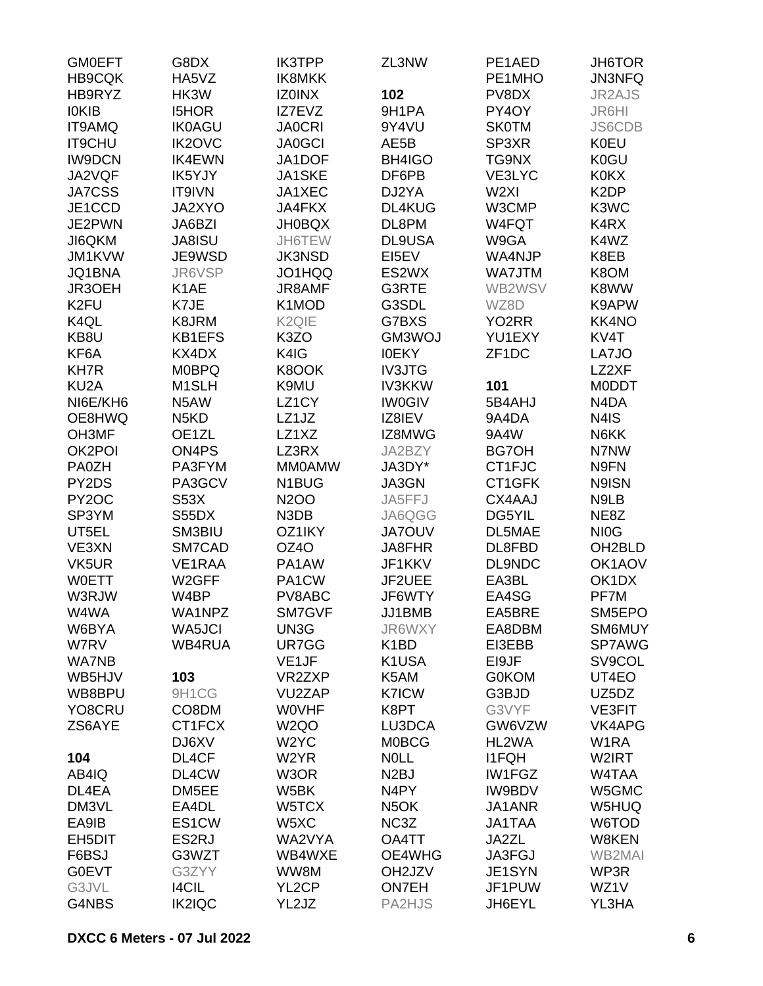| <b>GM0EFT</b>      | G8DX                          | <b>IK3TPP</b>      | ZL3NW              | PE1AED             | JH6TOR            |
|--------------------|-------------------------------|--------------------|--------------------|--------------------|-------------------|
| <b>HB9CQK</b>      | HA5VZ                         | IK8MKK             |                    | PE1MHO             | <b>JN3NFQ</b>     |
| HB9RYZ             | HK3W                          | <b>IZ0INX</b>      | 102                | PV8DX              | <b>JR2AJS</b>     |
| <b>IOKIB</b>       | <b>I5HOR</b>                  | IZ7EVZ             | 9H1PA              | PY4OY              | JR6HI             |
| IT9AMQ             | <b>IK0AGU</b>                 | <b>JA0CRI</b>      | 9Y4VU              | <b>SK0TM</b>       | <b>JS6CDB</b>     |
| <b>IT9CHU</b>      | <b>IK2OVC</b>                 | <b>JA0GCI</b>      | AE5B               | SP3XR              | <b>K0EU</b>       |
| <b>IW9DCN</b>      | <b>IK4EWN</b>                 | JA1DOF             | <b>BH4IGO</b>      | TG9NX              | K0GU              |
| JA2VQF             | IK5YJY                        | <b>JA1SKE</b>      | DF6PB              | VE3LYC             | <b>K0KX</b>       |
| <b>JA7CSS</b>      | IT9IVN                        | JA1XEC             | DJ2YA              | W <sub>2XI</sub>   | K <sub>2</sub> DP |
| JE1CCD             | JA2XYO                        | JA4FKX             | DL4KUG             | W3CMP              | K3WC              |
| JE2PWN             | JA6BZI                        | <b>JH0BQX</b>      | DL8PM              | W4FQT              | K4RX              |
| JI6QKM             | <b>JA8ISU</b>                 | JH6TEW             | <b>DL9USA</b>      | W9GA               | K4WZ              |
| JM1KVW             | JE9WSD                        | <b>JK3NSD</b>      | EI5EV              | WA4NJP             | K8EB              |
| <b>JQ1BNA</b>      | JR6VSP                        | JO1HQQ             | ES2WX              | WA7JTM             | K8OM              |
| JR3OEH             | K <sub>1</sub> AE             | JR8AMF             | G3RTE              | WB2WSV             | K8WW              |
| K <sub>2FU</sub>   | K7JE                          | K1MOD              | G3SDL              | WZ8D               | K9APW             |
| K <sub>4</sub> QL  | K8JRM                         | K <sub>2Q</sub> IE | G7BXS              | YO <sub>2</sub> RR | <b>KK4NO</b>      |
| KB8U               | <b>KB1EFS</b>                 | K3ZO               | GM3WOJ             | YU1EXY             | KV4T              |
| KF6A               | KX4DX                         | K4IG               | <b>IOEKY</b>       | ZF <sub>1</sub> DC | LA7JO             |
| <b>KH7R</b>        | <b>M0BPQ</b>                  | K8OOK              | <b>IV3JTG</b>      |                    | LZ2XF             |
| KU <sub>2</sub> A  | M <sub>1</sub> SLH            | K9MU               | <b>IV3KKW</b>      | 101                | <b>MODDT</b>      |
| NI6E/KH6           | N5AW                          | LZ <sub>1</sub> CY | <b>IW0GIV</b>      | 5B4AHJ             | N4DA              |
| OE8HWQ             | N <sub>5</sub> K <sub>D</sub> | LZ1JZ              | IZ8IEV             | 9A4DA              | N4IS              |
| OH3MF              | OE1ZL                         | LZ1XZ              | IZ8MWG             | 9A4W               | N6KK              |
| OK2POI             | ON4PS                         | LZ3RX              | JA2BZY             | <b>BG7OH</b>       | N7NW              |
| <b>PA0ZH</b>       | PA3FYM                        | <b>MMOAMW</b>      | JA3DY*             | CT1FJC             | N9FN              |
| PY2DS              | PA3GCV                        | N <sub>1</sub> BUG | JA3GN              | CT1GFK             | N9ISN             |
| PY <sub>2</sub> OC | S53X                          | <b>N2OO</b>        | JA5FFJ             | CX4AAJ             | N9LB              |
| SP3YM              | S55DX                         | N3DB               | JA6QGG             | DG5YIL             | NE8Z              |
| UT5EL              | SM3BIU                        | OZ1IKY             | <b>JA7OUV</b>      | DL5MAE             | NI <sub>0</sub> G |
| VE3XN              | SM7CAD                        | OZ4O               | JA8FHR             | DL8FBD             | OH2BLD            |
| VK5UR              | VE1RAA                        | PA1AW              | JF1KKV             | DL9NDC             | OK1AOV            |
| <b>WOETT</b>       | W2GFF                         | PA1CW              | JF2UEE             | EA3BL              | OK1DX             |
| W3RJW              | W4BP                          | PV8ABC             | JF6WTY             | EA4SG              | PF7M              |
| W4WA               | WA1NPZ                        | SM7GVF             | JJ1BMB             | EA5BRE             | SM5EPO            |
| W6BYA              | WA5JCI                        | UN3G               | JR6WXY             | EA8DBM             | SM6MUY            |
| W7RV               | <b>WB4RUA</b>                 | UR7GG              | K <sub>1</sub> BD  | EI3EBB             | SP7AWG            |
| <b>WA7NB</b>       |                               | VE <sub>1</sub> JF | K1USA              | EI9JF              | SV9COL            |
| WB5HJV             | 103                           | VR2ZXP             | K5AM               | <b>G0KOM</b>       | UT4EO             |
| WB8BPU             | 9H1CG                         | VU2ZAP             | <b>K7ICW</b>       | G3BJD              | UZ5DZ             |
| YO8CRU             | CO8DM                         | <b>WOVHF</b>       | K8PT               | G3VYF              | VE3FIT            |
| ZS6AYE             | CT1FCX                        | W <sub>2Q</sub> O  | LU3DCA             | GW6VZW             | VK4APG            |
|                    | DJ6XV                         | W <sub>2</sub> YC  | <b>MOBCG</b>       | HL2WA              | W <sub>1</sub> RA |
| 104                | DL4CF                         | W <sub>2</sub> YR  | <b>NOLL</b>        | <b>I1FQH</b>       | W2IRT             |
| AB4IQ              | DL4CW                         | W3OR               | N <sub>2</sub> BJ  | IW1FGZ             | W4TAA             |
| DL4EA              | DM5EE                         | W5BK               | N4PY               | <b>IW9BDV</b>      | W5GMC             |
| DM3VL              | EA4DL                         | W5TCX              | N <sub>5</sub> OK  | JA1ANR             | W5HUQ             |
| EA9IB              | ES1CW                         | W5XC               | NC3Z               | JA1TAA             | W6TOD             |
| EH5DIT             | ES2RJ                         | WA2VYA             | OA4TT              | JA2ZL              | W8KEN             |
| F6BSJ              | G3WZT                         | WB4WXE             | OE4WHG             | JA3FGJ             | <b>WB2MAI</b>     |
| <b>G0EVT</b>       | G3ZYY                         | WW8M               | OH <sub>2JZV</sub> | JE1SYN             | WP3R              |
| G3JVL              | <b>I4CIL</b>                  | YL <sub>2</sub> CP | <b>ON7EH</b>       | JF1PUW             | WZ1V              |
| G4NBS              | <b>IK2IQC</b>                 | YL2JZ              | PA2HJS             | JH6EYL             | YL3HA             |
|                    |                               |                    |                    |                    |                   |